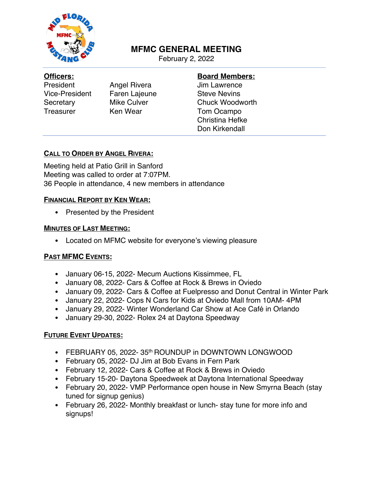

# **MFMC GENERAL MEETING**

February 2, 2022

#### **Officers:**

President Angel Rivera Vice-President Faren Lajeune Secretary Mike Culver Treasurer Ken Wear

# **Board Members:**

Jim Lawrence Steve Nevins Chuck Woodworth Tom Ocampo Christina Hefke Don Kirkendall

# **CALL TO ORDER BY ANGEL RIVERA:**

Meeting held at Patio Grill in Sanford Meeting was called to order at 7:07PM. 36 People in attendance, 4 new members in attendance

# **FINANCIAL REPORT BY KEN WEAR:**

• Presented by the President

#### **MINUTES OF LAST MEETING:**

• Located on MFMC website for everyone's viewing pleasure

# **PAST MFMC EVENTS:**

- January 06-15, 2022- Mecum Auctions Kissimmee, FL
- January 08, 2022- Cars & Coffee at Rock & Brews in Oviedo
- January 09, 2022- Cars & Coffee at Fuelpresso and Donut Central in Winter Park
- January 22, 2022- Cops N Cars for Kids at Oviedo Mall from 10AM- 4PM
- January 29, 2022- Winter Wonderland Car Show at Ace Café in Orlando
- January 29-30, 2022- Rolex 24 at Daytona Speedway

# **FUTURE EVENT UPDATES:**

- FEBRUARY 05, 2022- 35<sup>th</sup> ROUNDUP in DOWNTOWN LONGWOOD
- February 05, 2022- DJ Jim at Bob Evans in Fern Park
- February 12, 2022- Cars & Coffee at Rock & Brews in Oviedo
- February 15-20- Daytona Speedweek at Daytona International Speedway
- February 20, 2022- VMP Performance open house in New Smyrna Beach (stay tuned for signup genius)
- February 26, 2022- Monthly breakfast or lunch- stay tune for more info and signups!